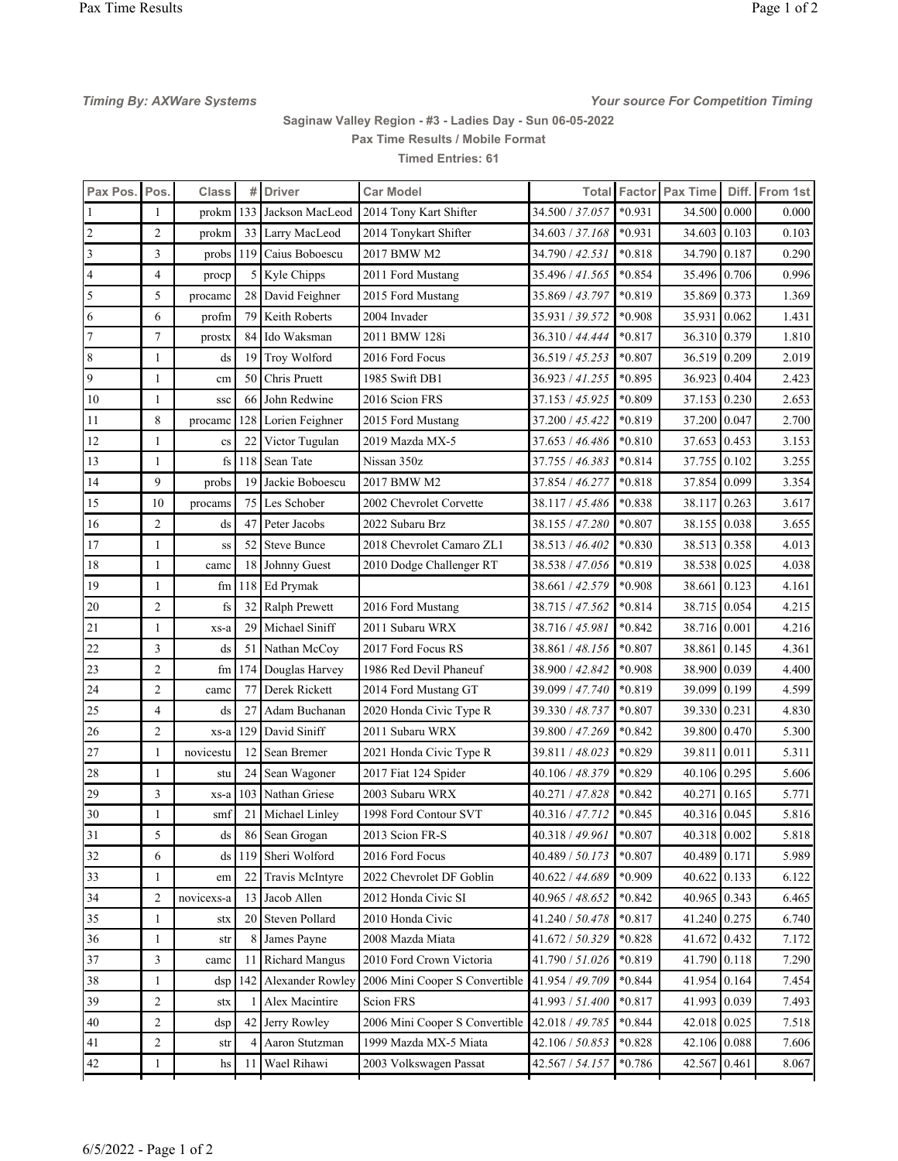Timing By: AXWare Systems Timing Assessment Competition Timing Systems of The Systems of The Systems of The Systems

## Saginaw Valley Region - #3 - Ladies Day - Sun 06-05-2022 Pax Time Results / Mobile Format Timed Entries: 61

| Pax Pos. Pos.  |                | <b>Class</b>            | #              | <b>Driver</b>         | <b>Car Model</b>               | Total           |          | Factor Pax Time |       | Diff. From 1st |
|----------------|----------------|-------------------------|----------------|-----------------------|--------------------------------|-----------------|----------|-----------------|-------|----------------|
| 1              | 1              | prokm                   | 133            | Jackson MacLeod       | 2014 Tony Kart Shifter         | 34.500 / 37.057 | $*0.931$ | 34.500          | 0.000 | 0.000          |
| $\overline{2}$ | $\overline{2}$ | prokm                   |                | 33 Larry MacLeod      | 2014 Tonykart Shifter          | 34.603 / 37.168 | $*0.931$ | 34.603          | 0.103 | 0.103          |
| 3              | 3              | probs                   | 119            | Caius Boboescu        | 2017 BMW M2                    | 34.790 / 42.531 | $*0.818$ | 34.790          | 0.187 | 0.290          |
| $\overline{4}$ | $\overline{4}$ | procp                   | 5 <sup>1</sup> | Kyle Chipps           | 2011 Ford Mustang              | 35.496 / 41.565 | $*0.854$ | 35.496          | 0.706 | 0.996          |
| $\mathfrak{S}$ | 5              | procame                 |                | 28 David Feighner     | 2015 Ford Mustang              | 35.869 / 43.797 | $*0.819$ | 35.869          | 0.373 | 1.369          |
| 6              | 6              | profm                   | 79             | Keith Roberts         | 2004 Invader                   | 35.931 / 39.572 | $*0.908$ | 35.931          | 0.062 | 1.431          |
| $\overline{7}$ | $\tau$         | prostx                  | 84             | Ido Waksman           | 2011 BMW 128i                  | 36.310 / 44.444 | $*0.817$ | 36.310          | 0.379 | 1.810          |
| 8              | 1              | ds                      | 19             | Troy Wolford          | 2016 Ford Focus                | 36.519 / 45.253 | $*0.807$ | 36.519          | 0.209 | 2.019          |
| 9              | 1              | cm                      | 50             | Chris Pruett          | 1985 Swift DB1                 | 36.923 / 41.255 | *0.895   | 36.923          | 0.404 | 2.423          |
| 10             | 1              | <b>SSC</b>              | 66             | John Redwine          | 2016 Scion FRS                 | 37.153 / 45.925 | *0.809   | 37.153          | 0.230 | 2.653          |
| 11             | 8              | procame                 | 128            | Lorien Feighner       | 2015 Ford Mustang              | 37.200 / 45.422 | $*0.819$ | 37.200          | 0.047 | 2.700          |
| 12             | 1              | $\mathbf{c}\mathbf{s}$  | 22             | Victor Tugulan        | 2019 Mazda MX-5                | 37.653 / 46.486 | $*0.810$ | 37.653          | 0.453 | 3.153          |
| 13             | 1              | $\mathbf{f}_\mathbf{S}$ | 118            | Sean Tate             | Nissan 350z                    | 37.755 / 46.383 | $*0.814$ | 37.755          | 0.102 | 3.255          |
| 14             | 9              | probs                   | 19             | Jackie Boboescu       | 2017 BMW M2                    | 37.854 / 46.277 | $*0.818$ | 37.854          | 0.099 | 3.354          |
| 15             | 10             | procams                 | 75             | Les Schober           | 2002 Chevrolet Corvette        | 38.117 / 45.486 | $*0.838$ | 38.117          | 0.263 | 3.617          |
| 16             | $\overline{2}$ | ds                      | 47             | Peter Jacobs          | 2022 Subaru Brz                | 38.155 / 47.280 | $*0.807$ | 38.155          | 0.038 | 3.655          |
| 17             | 1              | SS                      | 52             | <b>Steve Bunce</b>    | 2018 Chevrolet Camaro ZL1      | 38.513 / 46.402 | $*0.830$ | 38.513          | 0.358 | 4.013          |
| 18             | $\mathbf{1}$   | camc                    | 18             | Johnny Guest          | 2010 Dodge Challenger RT       | 38.538 / 47.056 | $*0.819$ | 38.538          | 0.025 | 4.038          |
| 19             | 1              | fm                      | 118            | Ed Prymak             |                                | 38.661 / 42.579 | *0.908   | 38.661          | 0.123 | 4.161          |
| 20             | $\overline{2}$ | fs                      | 32             | Ralph Prewett         | 2016 Ford Mustang              | 38.715 / 47.562 | $*0.814$ | 38.715          | 0.054 | 4.215          |
| 21             | 1              | xs-a                    | 29             | Michael Siniff        | 2011 Subaru WRX                | 38.716 / 45.981 | $*0.842$ | 38.716          | 0.001 | 4.216          |
| $22\,$         | 3              | ds                      | 51 I           | Nathan McCoy          | 2017 Ford Focus RS             | 38.861 / 48.156 | $*0.807$ | 38.861          | 0.145 | 4.361          |
| 23             | $\overline{2}$ | fm                      | 174            | Douglas Harvey        | 1986 Red Devil Phaneuf         | 38.900 / 42.842 | *0.908   | 38.900          | 0.039 | 4.400          |
| 24             | $\overline{2}$ | camc                    | 77             | Derek Rickett         | 2014 Ford Mustang GT           | 39.099 / 47.740 | $*0.819$ | 39.099          | 0.199 | 4.599          |
| 25             | $\overline{4}$ | ds                      | 27             | Adam Buchanan         | 2020 Honda Civic Type R        | 39.330 / 48.737 | $*0.807$ | 39.330          | 0.231 | 4.830          |
| 26             | $\overline{2}$ | xs-a                    | 129            | David Siniff          | 2011 Subaru WRX                | 39.800 / 47.269 | $*0.842$ | 39.800          | 0.470 | 5.300          |
| 27             | 1              | novicestu               | 12             | Sean Bremer           | 2021 Honda Civic Type R        | 39.811 / 48.023 | $*0.829$ | 39.811          | 0.011 | 5.311          |
| 28             | 1              | stu                     | 24             | Sean Wagoner          | 2017 Fiat 124 Spider           | 40.106 / 48.379 | $*0.829$ | 40.106          | 0.295 | 5.606          |
| 29             | 3              | xs-a                    | 103            | Nathan Griese         | 2003 Subaru WRX                | 40.271 / 47.828 | $*0.842$ | 40.271          | 0.165 | 5.771          |
| 30             | 1              | smt                     | 21             | Michael Linley        | 1998 Ford Contour SVT          | 40.316 / 47.712 | $*0.845$ | 40.316          | 0.045 | 5.816          |
| 31             | 5              | ds                      |                | 86 Sean Grogan        | 2013 Scion FR-S                | 40.318 / 49.961 | $*0.807$ | 40.318 0.002    |       | 5.818          |
| 32             | 6              | ds                      | 119            | Sheri Wolford         | 2016 Ford Focus                | 40.489 / 50.173 | $*0.807$ | 40.489          | 0.171 | 5.989          |
| 33             | 1              | em                      | 22             | Travis McIntyre       | 2022 Chevrolet DF Goblin       | 40.622 / 44.689 | *0.909   | 40.622          | 0.133 | 6.122          |
| 34             | $\overline{2}$ | novicexs-a              | 13             | Jacob Allen           | 2012 Honda Civic SI            | 40.965 / 48.652 | $*0.842$ | 40.965          | 0.343 | 6.465          |
| 35             | 1              | stx                     | 20             | Steven Pollard        | 2010 Honda Civic               | 41.240 / 50.478 | $*0.817$ | 41.240          | 0.275 | 6.740          |
| 36             | 1              | str                     | 8              | James Payne           | 2008 Mazda Miata               | 41.672 / 50.329 | $*0.828$ | 41.672          | 0.432 | 7.172          |
| 37             | 3              | camc                    | 11             | <b>Richard Mangus</b> | 2010 Ford Crown Victoria       | 41.790 / 51.026 | $*0.819$ | 41.790          | 0.118 | 7.290          |
| 38             | 1              | dsp                     | 142            | Alexander Rowley      | 2006 Mini Cooper S Convertible | 41.954 / 49.709 | $*0.844$ | 41.954 0.164    |       | 7.454          |
| 39             | $\overline{c}$ | stx                     |                | Alex Macintire        | Scion FRS                      | 41.993 / 51.400 | $*0.817$ | 41.993          | 0.039 | 7.493          |
| 40             | 2              | dsp                     | 42             | Jerry Rowley          | 2006 Mini Cooper S Convertible | 42.018 / 49.785 | $*0.844$ | 42.018          | 0.025 | 7.518          |
| $41\,$         | $\overline{c}$ | str                     | 4              | Aaron Stutzman        | 1999 Mazda MX-5 Miata          | 42.106 / 50.853 | $*0.828$ | 42.106          | 0.088 | 7.606          |
| 42             | 1              | hs                      | 11             | Wael Rihawi           | 2003 Volkswagen Passat         | 42.567 / 54.157 | $*0.786$ | 42.567          | 0.461 | 8.067          |